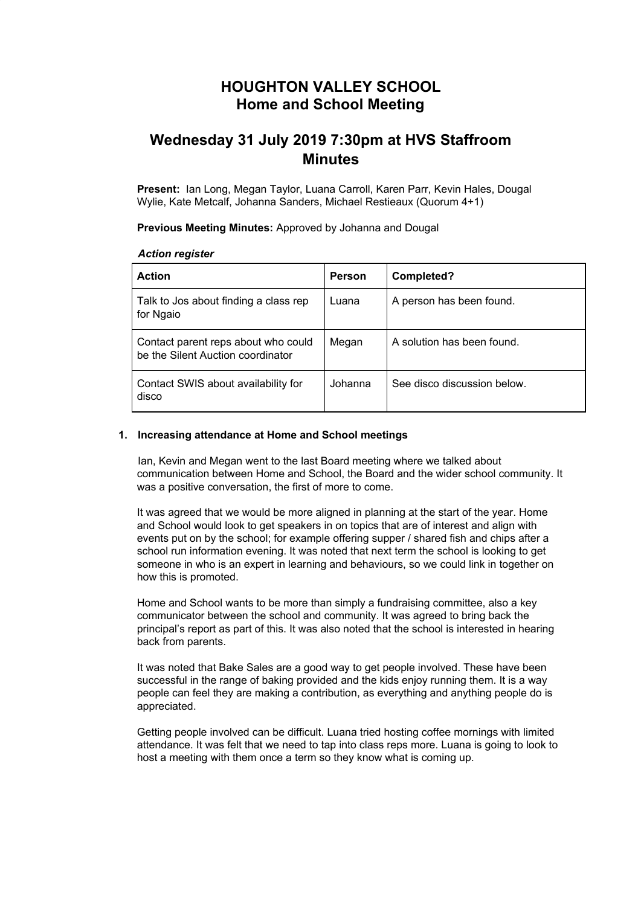## **HOUGHTON VALLEY SCHOOL Home and School Meeting**

# **Wednesday 31 July 2019 7:30pm at HVS Staffroom Minutes**

**Present:** Ian Long, Megan Taylor, Luana Carroll, Karen Parr, Kevin Hales, Dougal Wylie, Kate Metcalf, Johanna Sanders, Michael Restieaux (Quorum 4+1)

**Previous Meeting Minutes:** Approved by Johanna and Dougal

#### *Action register*

| <b>Action</b>                                                            | <b>Person</b> | Completed?                  |
|--------------------------------------------------------------------------|---------------|-----------------------------|
| Talk to Jos about finding a class rep<br>for Ngaio                       | Luana         | A person has been found.    |
| Contact parent reps about who could<br>be the Silent Auction coordinator | Megan         | A solution has been found.  |
| Contact SWIS about availability for<br>disco                             | Johanna       | See disco discussion below. |

#### **1. Increasing attendance at Home and School meetings**

Ian, Kevin and Megan went to the last Board meeting where we talked about communication between Home and School, the Board and the wider school community. It was a positive conversation, the first of more to come.

It was agreed that we would be more aligned in planning at the start of the year. Home and School would look to get speakers in on topics that are of interest and align with events put on by the school; for example offering supper / shared fish and chips after a school run information evening. It was noted that next term the school is looking to get someone in who is an expert in learning and behaviours, so we could link in together on how this is promoted.

Home and School wants to be more than simply a fundraising committee, also a key communicator between the school and community. It was agreed to bring back the principal's report as part of this. It was also noted that the school is interested in hearing back from parents.

It was noted that Bake Sales are a good way to get people involved. These have been successful in the range of baking provided and the kids enjoy running them. It is a way people can feel they are making a contribution, as everything and anything people do is appreciated.

Getting people involved can be difficult. Luana tried hosting coffee mornings with limited attendance. It was felt that we need to tap into class reps more. Luana is going to look to host a meeting with them once a term so they know what is coming up.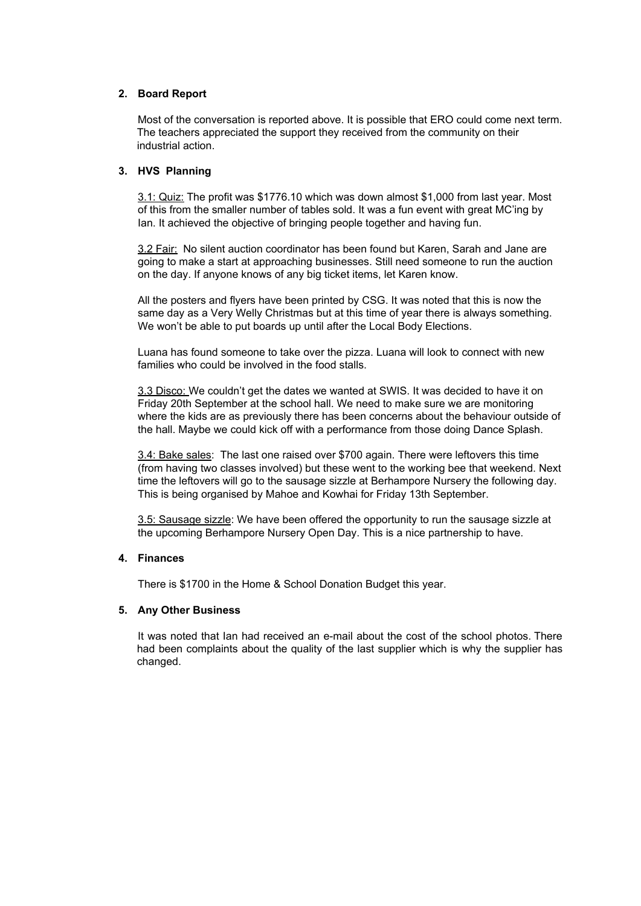### **2. Board Report**

Most of the conversation is reported above. It is possible that ERO could come next term. The teachers appreciated the support they received from the community on their industrial action.

### **3. HVS Planning**

3.1: Quiz: The profit was \$1776.10 which was down almost \$1,000 from last year. Most of this from the smaller number of tables sold. It was a fun event with great MC'ing by Ian. It achieved the objective of bringing people together and having fun.

3.2 Fair: No silent auction coordinator has been found but Karen, Sarah and Jane are going to make a start at approaching businesses. Still need someone to run the auction on the day. If anyone knows of any big ticket items, let Karen know.

All the posters and flyers have been printed by CSG. It was noted that this is now the same day as a Very Welly Christmas but at this time of year there is always something. We won't be able to put boards up until after the Local Body Elections.

Luana has found someone to take over the pizza. Luana will look to connect with new families who could be involved in the food stalls.

3.3 Disco: We couldn't get the dates we wanted at SWIS. It was decided to have it on Friday 20th September at the school hall. We need to make sure we are monitoring where the kids are as previously there has been concerns about the behaviour outside of the hall. Maybe we could kick off with a performance from those doing Dance Splash.

3.4: Bake sales: The last one raised over \$700 again. There were leftovers this time (from having two classes involved) but these went to the working bee that weekend. Next time the leftovers will go to the sausage sizzle at Berhampore Nursery the following day. This is being organised by Mahoe and Kowhai for Friday 13th September.

3.5: Sausage sizzle: We have been offered the opportunity to run the sausage sizzle at the upcoming Berhampore Nursery Open Day. This is a nice partnership to have.

### **4. Finances**

There is \$1700 in the Home & School Donation Budget this year.

### **5. Any Other Business**

It was noted that Ian had received an e-mail about the cost of the school photos. There had been complaints about the quality of the last supplier which is why the supplier has changed.